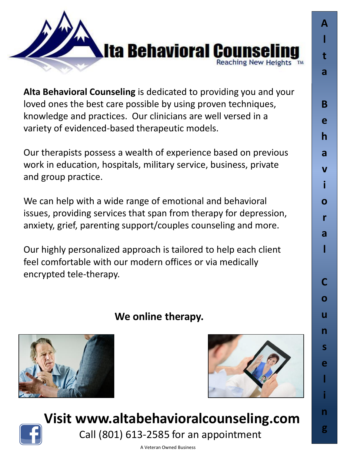

**Alta Behavioral Counseling** is dedicated to providing you and your loved ones the best care possible by using proven techniques, knowledge and practices. Our clinicians are well versed in a variety of evidenced-based therapeutic models.

Our therapists possess a wealth of experience based on previous work in education, hospitals, military service, business, private and group practice.

We can help with a wide range of emotional and behavioral issues, providing services that span from therapy for depression, anxiety, grief, parenting support/couples counseling and more.

Our highly personalized approach is tailored to help each client feel comfortable with our modern offices or via medically encrypted tele-therapy.

## **We online therapy.**





**A**

**l**

**t**

**a**

**B**

**e**

**h**

**a**

**v**

**i**

**o**

**r**

**a**

**l**

**C**

**o**

**u**

**n**

**s**

**e**

**l**

**i**

**n**

**g**



**Visit www.altabehavioralcounseling.com** Call (801) 613-2585 for an appointment

A Veteran Owned Business